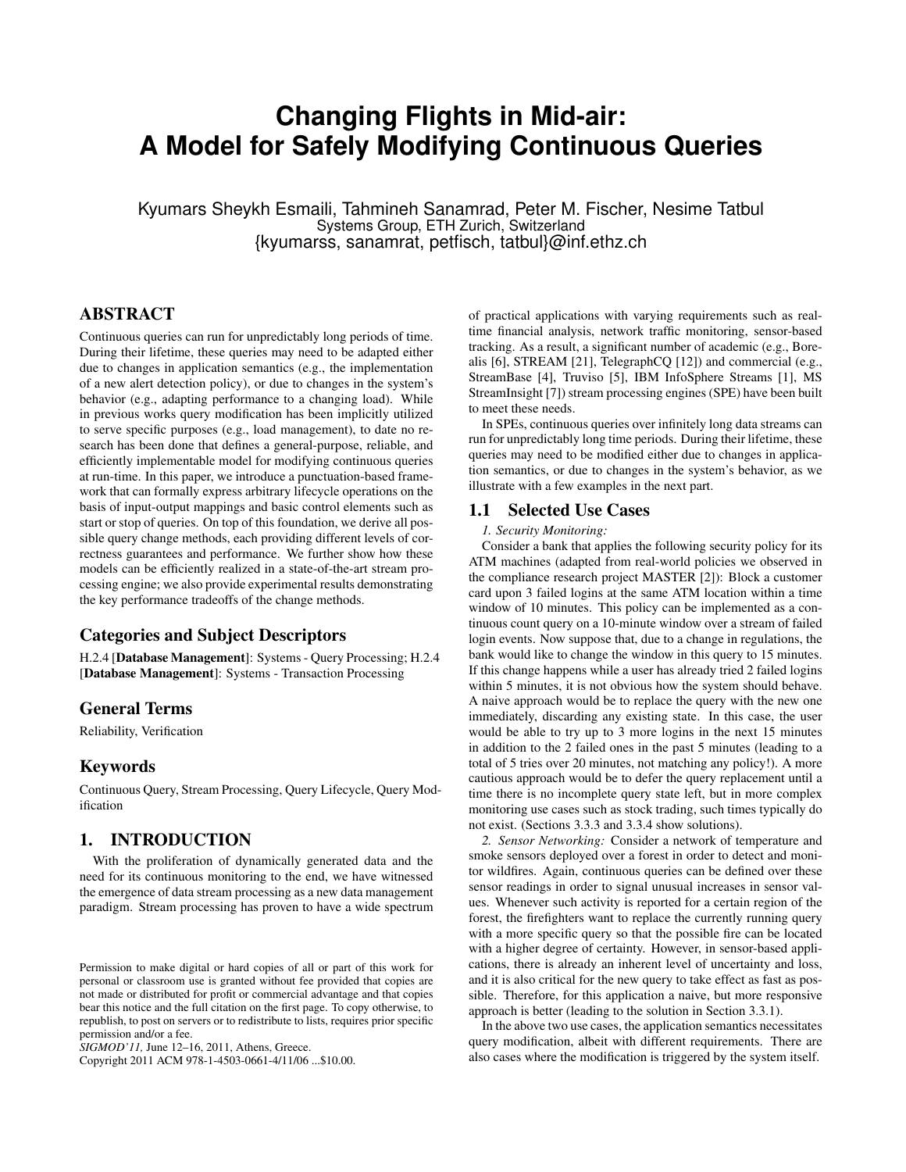# **Changing Flights in Mid-air: A Model for Safely Modifying Continuous Queries**

Kyumars Sheykh Esmaili, Tahmineh Sanamrad, Peter M. Fischer, Nesime Tatbul Systems Group, ETH Zurich, Switzerland {kyumarss, sanamrat, petfisch, tatbul}@inf.ethz.ch

# ABSTRACT

Continuous queries can run for unpredictably long periods of time. During their lifetime, these queries may need to be adapted either due to changes in application semantics (e.g., the implementation of a new alert detection policy), or due to changes in the system's behavior (e.g., adapting performance to a changing load). While in previous works query modification has been implicitly utilized to serve specific purposes (e.g., load management), to date no research has been done that defines a general-purpose, reliable, and efficiently implementable model for modifying continuous queries at run-time. In this paper, we introduce a punctuation-based framework that can formally express arbitrary lifecycle operations on the basis of input-output mappings and basic control elements such as start or stop of queries. On top of this foundation, we derive all possible query change methods, each providing different levels of correctness guarantees and performance. We further show how these models can be efficiently realized in a state-of-the-art stream processing engine; we also provide experimental results demonstrating the key performance tradeoffs of the change methods.

# Categories and Subject Descriptors

H.2.4 [Database Management]: Systems - Query Processing; H.2.4 [Database Management]: Systems - Transaction Processing

### General Terms

Reliability, Verification

## Keywords

Continuous Query, Stream Processing, Query Lifecycle, Query Modification

# 1. INTRODUCTION

With the proliferation of dynamically generated data and the need for its continuous monitoring to the end, we have witnessed the emergence of data stream processing as a new data management paradigm. Stream processing has proven to have a wide spectrum

Copyright 2011 ACM 978-1-4503-0661-4/11/06 ...\$10.00.

of practical applications with varying requirements such as realtime financial analysis, network traffic monitoring, sensor-based tracking. As a result, a significant number of academic (e.g., Borealis [6], STREAM [21], TelegraphCQ [12]) and commercial (e.g., StreamBase [4], Truviso [5], IBM InfoSphere Streams [1], MS StreamInsight [7]) stream processing engines (SPE) have been built to meet these needs.

In SPEs, continuous queries over infinitely long data streams can run for unpredictably long time periods. During their lifetime, these queries may need to be modified either due to changes in application semantics, or due to changes in the system's behavior, as we illustrate with a few examples in the next part.

### 1.1 Selected Use Cases

#### *1. Security Monitoring:*

Consider a bank that applies the following security policy for its ATM machines (adapted from real-world policies we observed in the compliance research project MASTER [2]): Block a customer card upon 3 failed logins at the same ATM location within a time window of 10 minutes. This policy can be implemented as a continuous count query on a 10-minute window over a stream of failed login events. Now suppose that, due to a change in regulations, the bank would like to change the window in this query to 15 minutes. If this change happens while a user has already tried 2 failed logins within 5 minutes, it is not obvious how the system should behave. A naive approach would be to replace the query with the new one immediately, discarding any existing state. In this case, the user would be able to try up to 3 more logins in the next 15 minutes in addition to the 2 failed ones in the past 5 minutes (leading to a total of 5 tries over 20 minutes, not matching any policy!). A more cautious approach would be to defer the query replacement until a time there is no incomplete query state left, but in more complex monitoring use cases such as stock trading, such times typically do not exist. (Sections 3.3.3 and 3.3.4 show solutions).

*2. Sensor Networking:* Consider a network of temperature and smoke sensors deployed over a forest in order to detect and monitor wildfires. Again, continuous queries can be defined over these sensor readings in order to signal unusual increases in sensor values. Whenever such activity is reported for a certain region of the forest, the firefighters want to replace the currently running query with a more specific query so that the possible fire can be located with a higher degree of certainty. However, in sensor-based applications, there is already an inherent level of uncertainty and loss, and it is also critical for the new query to take effect as fast as possible. Therefore, for this application a naive, but more responsive approach is better (leading to the solution in Section 3.3.1).

In the above two use cases, the application semantics necessitates query modification, albeit with different requirements. There are also cases where the modification is triggered by the system itself.

Permission to make digital or hard copies of all or part of this work for personal or classroom use is granted without fee provided that copies are not made or distributed for profit or commercial advantage and that copies bear this notice and the full citation on the first page. To copy otherwise, to republish, to post on servers or to redistribute to lists, requires prior specific permission and/or a fee.

*SIGMOD'11,* June 12–16, 2011, Athens, Greece.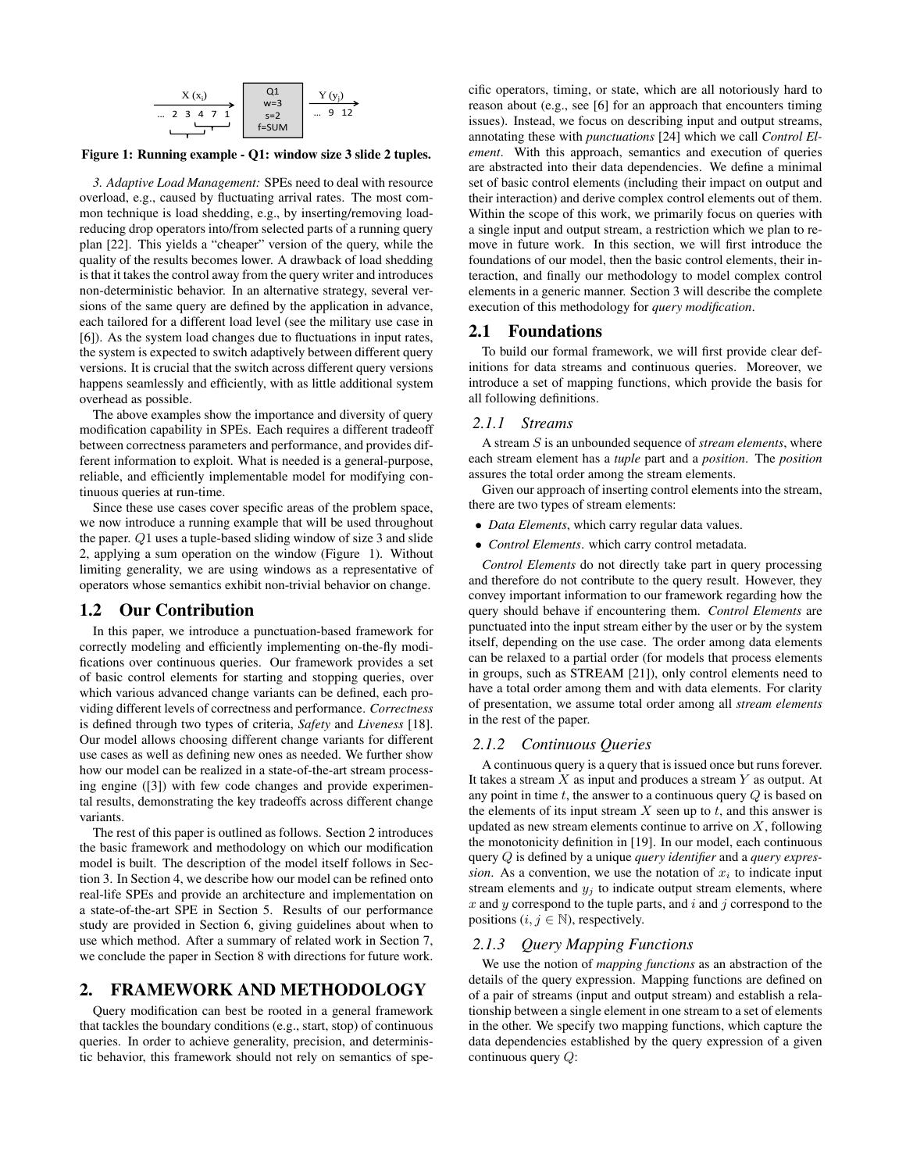

Figure 1: Running example - Q1: window size 3 slide 2 tuples.

*3. Adaptive Load Management:* SPEs need to deal with resource overload, e.g., caused by fluctuating arrival rates. The most common technique is load shedding, e.g., by inserting/removing loadreducing drop operators into/from selected parts of a running query plan [22]. This yields a "cheaper" version of the query, while the quality of the results becomes lower. A drawback of load shedding is that it takes the control away from the query writer and introduces non-deterministic behavior. In an alternative strategy, several versions of the same query are defined by the application in advance, each tailored for a different load level (see the military use case in [6]). As the system load changes due to fluctuations in input rates, the system is expected to switch adaptively between different query versions. It is crucial that the switch across different query versions happens seamlessly and efficiently, with as little additional system overhead as possible.

The above examples show the importance and diversity of query modification capability in SPEs. Each requires a different tradeoff between correctness parameters and performance, and provides different information to exploit. What is needed is a general-purpose, reliable, and efficiently implementable model for modifying continuous queries at run-time.

Since these use cases cover specific areas of the problem space, we now introduce a running example that will be used throughout the paper. Q1 uses a tuple-based sliding window of size 3 and slide 2, applying a sum operation on the window (Figure 1). Without limiting generality, we are using windows as a representative of operators whose semantics exhibit non-trivial behavior on change.

# 1.2 Our Contribution

In this paper, we introduce a punctuation-based framework for correctly modeling and efficiently implementing on-the-fly modifications over continuous queries. Our framework provides a set of basic control elements for starting and stopping queries, over which various advanced change variants can be defined, each providing different levels of correctness and performance. *Correctness* is defined through two types of criteria, *Safety* and *Liveness* [18]. Our model allows choosing different change variants for different use cases as well as defining new ones as needed. We further show how our model can be realized in a state-of-the-art stream processing engine ([3]) with few code changes and provide experimental results, demonstrating the key tradeoffs across different change variants.

The rest of this paper is outlined as follows. Section 2 introduces the basic framework and methodology on which our modification model is built. The description of the model itself follows in Section 3. In Section 4, we describe how our model can be refined onto real-life SPEs and provide an architecture and implementation on a state-of-the-art SPE in Section 5. Results of our performance study are provided in Section 6, giving guidelines about when to use which method. After a summary of related work in Section 7, we conclude the paper in Section 8 with directions for future work.

# 2. FRAMEWORK AND METHODOLOGY

Query modification can best be rooted in a general framework that tackles the boundary conditions (e.g., start, stop) of continuous queries. In order to achieve generality, precision, and deterministic behavior, this framework should not rely on semantics of specific operators, timing, or state, which are all notoriously hard to reason about (e.g., see [6] for an approach that encounters timing issues). Instead, we focus on describing input and output streams, annotating these with *punctuations* [24] which we call *Control Element*. With this approach, semantics and execution of queries are abstracted into their data dependencies. We define a minimal set of basic control elements (including their impact on output and their interaction) and derive complex control elements out of them. Within the scope of this work, we primarily focus on queries with a single input and output stream, a restriction which we plan to remove in future work. In this section, we will first introduce the foundations of our model, then the basic control elements, their interaction, and finally our methodology to model complex control elements in a generic manner. Section 3 will describe the complete execution of this methodology for *query modification*.

# 2.1 Foundations

To build our formal framework, we will first provide clear definitions for data streams and continuous queries. Moreover, we introduce a set of mapping functions, which provide the basis for all following definitions.

#### *2.1.1 Streams*

A stream S is an unbounded sequence of *stream elements*, where each stream element has a *tuple* part and a *position*. The *position* assures the total order among the stream elements.

Given our approach of inserting control elements into the stream, there are two types of stream elements:

- *Data Elements*, which carry regular data values.
- *Control Elements*. which carry control metadata.

*Control Elements* do not directly take part in query processing and therefore do not contribute to the query result. However, they convey important information to our framework regarding how the query should behave if encountering them. *Control Elements* are punctuated into the input stream either by the user or by the system itself, depending on the use case. The order among data elements can be relaxed to a partial order (for models that process elements in groups, such as STREAM [21]), only control elements need to have a total order among them and with data elements. For clarity of presentation, we assume total order among all *stream elements* in the rest of the paper.

#### *2.1.2 Continuous Queries*

A continuous query is a query that is issued once but runs forever. It takes a stream  $X$  as input and produces a stream  $Y$  as output. At any point in time  $t$ , the answer to a continuous query  $Q$  is based on the elements of its input stream  $X$  seen up to  $t$ , and this answer is updated as new stream elements continue to arrive on  $X$ , following the monotonicity definition in [19]. In our model, each continuous query Q is defined by a unique *query identifier* and a *query expression*. As a convention, we use the notation of  $x_i$  to indicate input stream elements and  $y_i$  to indicate output stream elements, where  $x$  and  $y$  correspond to the tuple parts, and  $i$  and  $j$  correspond to the positions  $(i, j \in \mathbb{N})$ , respectively.

# *2.1.3 Query Mapping Functions*

We use the notion of *mapping functions* as an abstraction of the details of the query expression. Mapping functions are defined on of a pair of streams (input and output stream) and establish a relationship between a single element in one stream to a set of elements in the other. We specify two mapping functions, which capture the data dependencies established by the query expression of a given continuous query Q: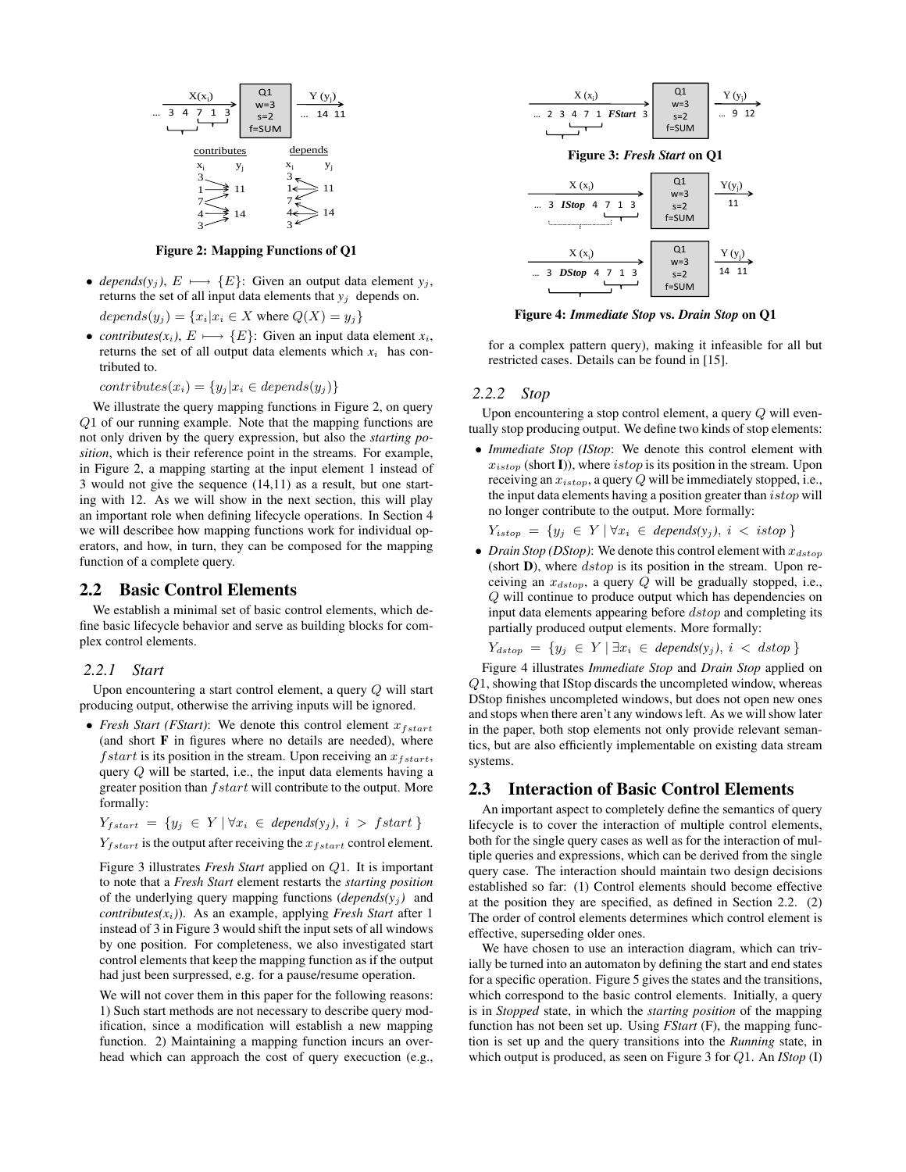

Figure 2: Mapping Functions of Q1

- *depends(y<sub>i</sub>)*,  $E \longrightarrow \{E\}$ : Given an output data element *y<sub>i</sub>*, returns the set of all input data elements that  $y_i$  depends on.  $depends(y_j) = \{x_i | x_i \in X \text{ where } Q(X) = y_j\}$
- *contributes(x<sub>i</sub></sub>)*,  $E \mapsto \{E\}$ : Given an input data element *x<sub>i</sub>*, returns the set of all output data elements which  $x_i$  has contributed to.

 $contributes(x_i) = \{y_j | x_i \in depends(y_j)\}\$ 

We illustrate the query mapping functions in Figure 2, on query Q1 of our running example. Note that the mapping functions are not only driven by the query expression, but also the *starting position*, which is their reference point in the streams. For example, in Figure 2, a mapping starting at the input element 1 instead of 3 would not give the sequence (14,11) as a result, but one starting with 12. As we will show in the next section, this will play an important role when defining lifecycle operations. In Section 4 we will describee how mapping functions work for individual operators, and how, in turn, they can be composed for the mapping function of a complete query. **Absorption**  $\frac{3}{4} \int_{-\pi/4}^{\pi/4} \int_{-\pi/4}^{\pi/4} \int_{-\pi/4}^{\pi/4} \int_{-\pi/4}^{\pi/4} \int_{-\pi/4}^{\pi/4} \int_{-\pi/4}^{\pi/4} \int_{-\pi/4}^{\pi/4} \int_{-\pi/4}^{\pi/4} \int_{-\pi/4}^{\pi/4} \int_{-\pi/4}^{\pi/4} \int_{-\pi/4}^{\pi/4} \int_{-\pi/4}^{\pi/4} \int_{-\pi/4}^{\pi/4} \int_{-\pi/4}^{\pi/4} \int_{-\$ 

### 2.2 Basic Control Elements

We establish a minimal set of basic control elements, which define basic lifecycle behavior and serve as building blocks for complex control elements.

### *2.2.1 Start*

Upon encountering a start control element, a query Q will start producing output, otherwise the arriving inputs will be ignored.

• *Fresh Start (FStart)*: We denote this control element  $x_{fstart}$ (and short  **in figures where no details are needed), where**  $fstart$  is its position in the stream. Upon receiving an  $x_{fstart}$ , query Q will be started, i.e., the input data elements having a greater position than  $fstart$  will contribute to the output. More formally:

 $Y_{fstart} = \{y_j \in Y \mid \forall x_i \in depends(y_j), i > fstart \}$  $Y_{fstart}$  is the output after receiving the  $x_{fstart}$  control element.

Figure 3 illustrates *Fresh Start* applied on Q1. It is important to note that a *Fresh Start* element restarts the *starting position* of the underlying query mapping functions  $(depends(y_i)$  and *contributes(* $x_i$ *)*). As an example, applying *Fresh Start* after 1 instead of 3 in Figure 3 would shift the input sets of all windows by one position. For completeness, we also investigated start control elements that keep the mapping function as if the output had just been surpressed, e.g. for a pause/resume operation.

We will not cover them in this paper for the following reasons: 1) Such start methods are not necessary to describe query modification, since a modification will establish a new mapping function. 2) Maintaining a mapping function incurs an over-



Figure 4: *Immediate Stop* vs. *Drain Stop* on Q1

for a complex pattern query), making it infeasible for all but restricted cases. Details can be found in [15].

### *2.2.2 Stop*

Upon encountering a stop control element, a query Q will eventually stop producing output. We define two kinds of stop elements:

• *Immediate Stop (IStop*: We denote this control element with  $x_{istop}$  (short I)), where  $istop$  is its position in the stream. Upon receiving an  $x_{istop}$ , a query  $Q$  will be immediately stopped, i.e., the input data elements having a position greater than  $istop$  will no longer contribute to the output. More formally:

$$
Y_{istop} = \{ y_j \in Y \mid \forall x_i \in depends(y_j), i < istop \}
$$

• *Drain Stop (DStop)*: We denote this control element with  $x_{dstop}$ (short **), where**  $dstop$  **is its position in the stream. Upon re**ceiving an  $x_{dston}$ , a query Q will be gradually stopped, i.e., Q will continue to produce output which has dependencies on input data elements appearing before dstop and completing its partially produced output elements. More formally:

$$
Y_{dstop} = \{ y_j \in Y \mid \exists x_i \in depends(y_j), i < dstop \}
$$

Figure 4 illustrates *Immediate Stop* and *Drain Stop* applied on Q1, showing that IStop discards the uncompleted window, whereas DStop finishes uncompleted windows, but does not open new ones and stops when there aren't any windows left. As we will show later in the paper, both stop elements not only provide relevant semantics, but are also efficiently implementable on existing data stream systems.

# 2.3 Interaction of Basic Control Elements

An important aspect to completely define the semantics of query lifecycle is to cover the interaction of multiple control elements, both for the single query cases as well as for the interaction of multiple queries and expressions, which can be derived from the single query case. The interaction should maintain two design decisions established so far: (1) Control elements should become effective at the position they are specified, as defined in Section 2.2. (2) The order of control elements determines which control element is effective, superseding older ones.

We have chosen to use an interaction diagram, which can trivially be turned into an automaton by defining the start and end states for a specific operation. Figure 5 gives the states and the transitions, which correspond to the basic control elements. Initially, a query is in *Stopped* state, in which the *starting position* of the mapping function has not been set up. Using *FStart* (F), the mapping function is set up and the query transitions into the *Running* state, in which output is produced, as seen on Figure 3 for Q1. An *IStop* (I)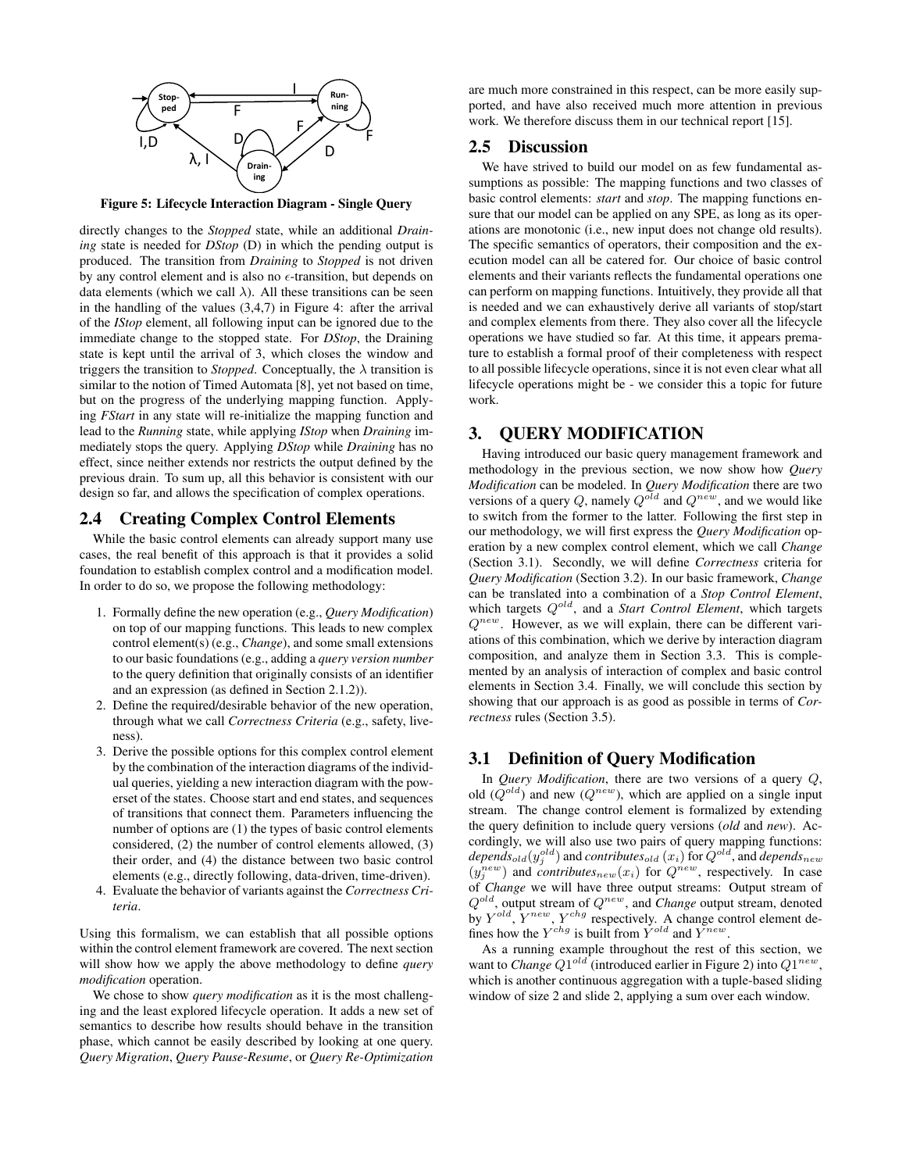

Figure 5: Lifecycle Interaction Diagram - Single Query

directly changes to the *Stopped* state, while an additional *Draining* state is needed for *DStop* (D) in which the pending output is produced. The transition from *Draining* to *Stopped* is not driven by any control element and is also no  $\epsilon$ -transition, but depends on data elements (which we call  $\lambda$ ). All these transitions can be seen in the handling of the values (3,4,7) in Figure 4: after the arrival of the *IStop* element, all following input can be ignored due to the immediate change to the stopped state. For *DStop*, the Draining state is kept until the arrival of 3, which closes the window and triggers the transition to *Stopped*. Conceptually, the  $\lambda$  transition is similar to the notion of Timed Automata [8], yet not based on time, but on the progress of the underlying mapping function. Applying *FStart* in any state will re-initialize the mapping function and lead to the *Running* state, while applying *IStop* when *Draining* immediately stops the query. Applying *DStop* while *Draining* has no effect, since neither extends nor restricts the output defined by the previous drain. To sum up, all this behavior is consistent with our design so far, and allows the specification of complex operations.

### 2.4 Creating Complex Control Elements

While the basic control elements can already support many use cases, the real benefit of this approach is that it provides a solid foundation to establish complex control and a modification model. In order to do so, we propose the following methodology:

- 1. Formally define the new operation (e.g., *Query Modification*) on top of our mapping functions. This leads to new complex control element(s) (e.g., *Change*), and some small extensions to our basic foundations (e.g., adding a *query version number* to the query definition that originally consists of an identifier and an expression (as defined in Section 2.1.2)).
- 2. Define the required/desirable behavior of the new operation, through what we call *Correctness Criteria* (e.g., safety, liveness).
- 3. Derive the possible options for this complex control element by the combination of the interaction diagrams of the individual queries, yielding a new interaction diagram with the powerset of the states. Choose start and end states, and sequences of transitions that connect them. Parameters influencing the number of options are (1) the types of basic control elements considered, (2) the number of control elements allowed, (3) their order, and (4) the distance between two basic control elements (e.g., directly following, data-driven, time-driven).
- 4. Evaluate the behavior of variants against the *Correctness Criteria*.

Using this formalism, we can establish that all possible options within the control element framework are covered. The next section will show how we apply the above methodology to define *query modification* operation.

We chose to show *query modification* as it is the most challenging and the least explored lifecycle operation. It adds a new set of semantics to describe how results should behave in the transition phase, which cannot be easily described by looking at one query. *Query Migration*, *Query Pause-Resume*, or *Query Re-Optimization* are much more constrained in this respect, can be more easily supported, and have also received much more attention in previous work. We therefore discuss them in our technical report [15].

### 2.5 Discussion

We have strived to build our model on as few fundamental assumptions as possible: The mapping functions and two classes of basic control elements: *start* and *stop*. The mapping functions ensure that our model can be applied on any SPE, as long as its operations are monotonic (i.e., new input does not change old results). The specific semantics of operators, their composition and the execution model can all be catered for. Our choice of basic control elements and their variants reflects the fundamental operations one can perform on mapping functions. Intuitively, they provide all that is needed and we can exhaustively derive all variants of stop/start and complex elements from there. They also cover all the lifecycle operations we have studied so far. At this time, it appears premature to establish a formal proof of their completeness with respect to all possible lifecycle operations, since it is not even clear what all lifecycle operations might be - we consider this a topic for future work.

### 3. QUERY MODIFICATION

Having introduced our basic query management framework and methodology in the previous section, we now show how *Query Modification* can be modeled. In *Query Modification* there are two versions of a query Q, namely  $Q^{old}$  and  $Q^{new}$ , and we would like to switch from the former to the latter. Following the first step in our methodology, we will first express the *Query Modification* operation by a new complex control element, which we call *Change* (Section 3.1). Secondly, we will define *Correctness* criteria for *Query Modification* (Section 3.2). In our basic framework, *Change* can be translated into a combination of a *Stop Control Element*, which targets  $Q^{old}$ , and a *Start Control Element*, which targets  $Q^{new}$ . However, as we will explain, there can be different variations of this combination, which we derive by interaction diagram composition, and analyze them in Section 3.3. This is complemented by an analysis of interaction of complex and basic control elements in Section 3.4. Finally, we will conclude this section by showing that our approach is as good as possible in terms of *Correctness* rules (Section 3.5).

### 3.1 Definition of Query Modification

In *Query Modification*, there are two versions of a query Q, old  $(Q^{old})$  and new  $(Q^{new})$ , which are applied on a single input stream. The change control element is formalized by extending the query definition to include query versions (*old* and *new*). Accordingly, we will also use two pairs of query mapping functions:  $\emph{depends}_{old}(y^{old}_j)$  and  $\emph{contributes}_{old}\left(x_i\right)$  for  $Q^{old}$ , and  $\emph{depends}_{new}$  $(y_j^{new})$  and *contributes*<sub>new</sub> $(x_i)$  for  $Q^{new}$ , respectively. In case of *Change* we will have three output streams: Output stream of  $Q^{old}$ , output stream of  $Q^{new}$ , and *Change* output stream, denoted by  $Y^{old}$ ,  $Y^{new}$ ,  $Y^{chg}$  respectively. A change control element defines how the  $Y^{chg}$  is built from  $Y^{old}$  and  $Y^{new}$ .

As a running example throughout the rest of this section, we want to *Change*  $Q1^{old}$  (introduced earlier in Figure 2) into  $Q1^{new}$ , which is another continuous aggregation with a tuple-based sliding window of size 2 and slide 2, applying a sum over each window.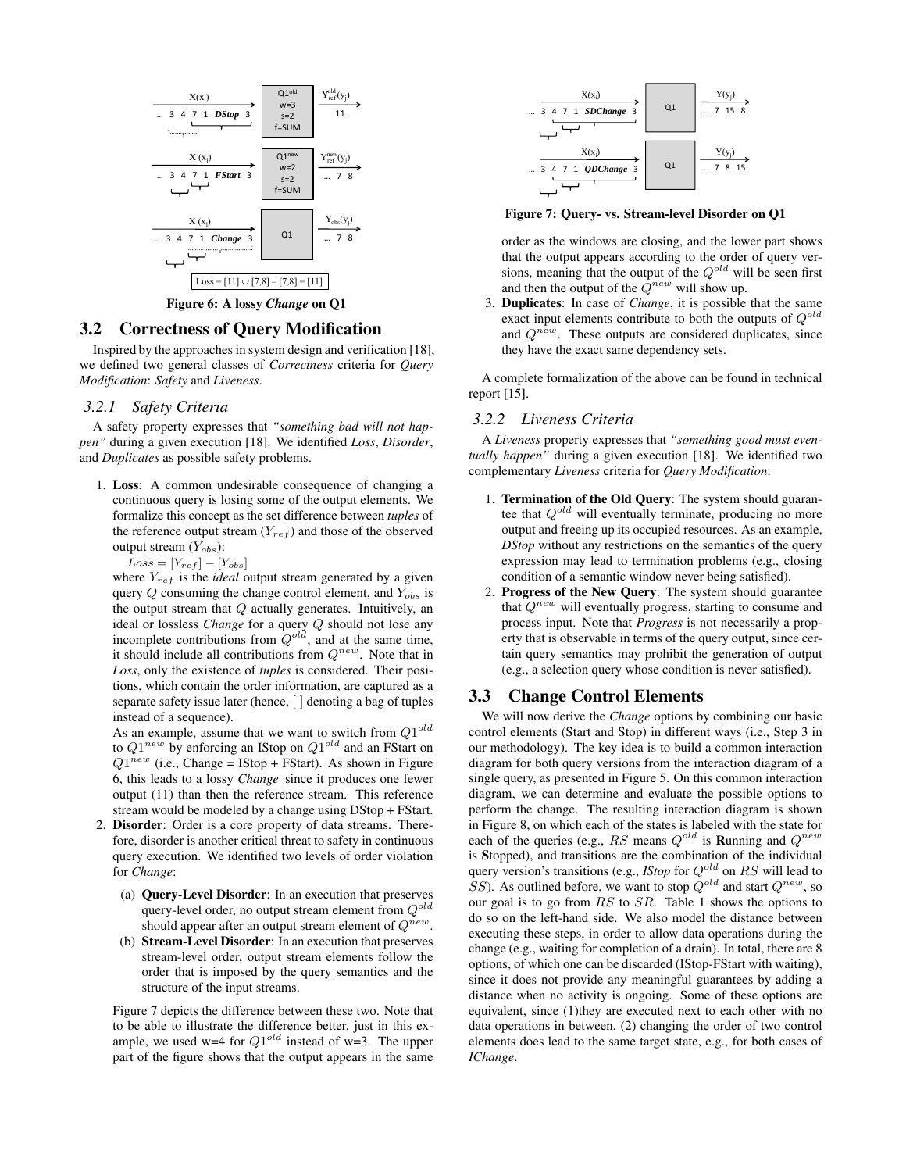

Figure 6: A lossy *Change* on Q1

### 3.2 Correctness of Query Modification

Inspired by the approaches in system design and verification [18], we defined two general classes of *Correctness* criteria for *Query Modification*: *Safety* and *Liveness*.

### *3.2.1 Safety Criteria*

A safety property expresses that *"something bad will not happen"* during a given execution [18]. We identified *Loss*, *Disorder*, and *Duplicates* as possible safety problems.

1. Loss: A common undesirable consequence of changing a continuous query is losing some of the output elements. We formalize this concept as the set difference between *tuples* of the reference output stream  $(Y_{ref})$  and those of the observed output stream  $(Y_{obs})$ :

 $Loss = [Y_{ref}] - [Y_{obs}]$ 

where  $Y_{ref}$  is the *ideal* output stream generated by a given query  $Q$  consuming the change control element, and  $Y_{obs}$  is the output stream that  $Q$  actually generates. Intuitively, an ideal or lossless *Change* for a query Q should not lose any incomplete contributions from  $Q^{old}$ , and at the same time, it should include all contributions from  $Q^{new}$ . Note that in *Loss*, only the existence of *tuples* is considered. Their positions, which contain the order information, are captured as a separate safety issue later (hence, [ ] denoting a bag of tuples instead of a sequence).

As an example, assume that we want to switch from  $Q1^{old}$ to  $Q1^{new}$  by enforcing an IStop on  $Q1^{old}$  and an FStart on  $Q1^{new}$  (i.e., Change = IStop + FStart). As shown in Figure 6, this leads to a lossy *Change* since it produces one fewer output (11) than then the reference stream. This reference stream would be modeled by a change using DStop + FStart.

- 2. Disorder: Order is a core property of data streams. Therefore, disorder is another critical threat to safety in continuous query execution. We identified two levels of order violation for *Change*:
	- (a) Query-Level Disorder: In an execution that preserves query-level order, no output stream element from  $Q^{old}$ should appear after an output stream element of  $Q^{new}$ .
	- (b) Stream-Level Disorder: In an execution that preserves stream-level order, output stream elements follow the order that is imposed by the query semantics and the structure of the input streams.

Figure 7 depicts the difference between these two. Note that to be able to illustrate the difference better, just in this example, we used w=4 for  $Q1^{old}$  instead of w=3. The upper part of the figure shows that the output appears in the same



Figure 7: Query- vs. Stream-level Disorder on Q1

order as the windows are closing, and the lower part shows that the output appears according to the order of query versions, meaning that the output of the  $Q^{old}$  will be seen first and then the output of the  $Q^{new}$  will show up.

3. Duplicates: In case of *Change*, it is possible that the same exact input elements contribute to both the outputs of  $Q^{old}$ and  $Q^{new}$ . These outputs are considered duplicates, since they have the exact same dependency sets.

A complete formalization of the above can be found in technical report [15].

### *3.2.2 Liveness Criteria*

A *Liveness* property expresses that *"something good must eventually happen"* during a given execution [18]. We identified two complementary *Liveness* criteria for *Query Modification*:

- 1. Termination of the Old Query: The system should guarantee that  $Q^{old}$  will eventually terminate, producing no more output and freeing up its occupied resources. As an example, *DStop* without any restrictions on the semantics of the query expression may lead to termination problems (e.g., closing condition of a semantic window never being satisfied).
- 2. Progress of the New Query: The system should guarantee that  $Q^{new}$  will eventually progress, starting to consume and process input. Note that *Progress* is not necessarily a property that is observable in terms of the query output, since certain query semantics may prohibit the generation of output (e.g., a selection query whose condition is never satisfied).

# 3.3 Change Control Elements

We will now derive the *Change* options by combining our basic control elements (Start and Stop) in different ways (i.e., Step 3 in our methodology). The key idea is to build a common interaction diagram for both query versions from the interaction diagram of a single query, as presented in Figure 5. On this common interaction diagram, we can determine and evaluate the possible options to perform the change. The resulting interaction diagram is shown in Figure 8, on which each of the states is labeled with the state for each of the queries (e.g., RS means  $Q^{old}$  is Running and  $Q^{new}$ is Stopped), and transitions are the combination of the individual query version's transitions (e.g., *IStop* for  $Q^{old}$  on RS will lead to SS). As outlined before, we want to stop  $Q^{old}$  and start  $Q^{new}$ , so our goal is to go from RS to SR. Table 1 shows the options to do so on the left-hand side. We also model the distance between executing these steps, in order to allow data operations during the change (e.g., waiting for completion of a drain). In total, there are 8 options, of which one can be discarded (IStop-FStart with waiting), since it does not provide any meaningful guarantees by adding a distance when no activity is ongoing. Some of these options are equivalent, since (1)they are executed next to each other with no data operations in between, (2) changing the order of two control elements does lead to the same target state, e.g., for both cases of *IChange*.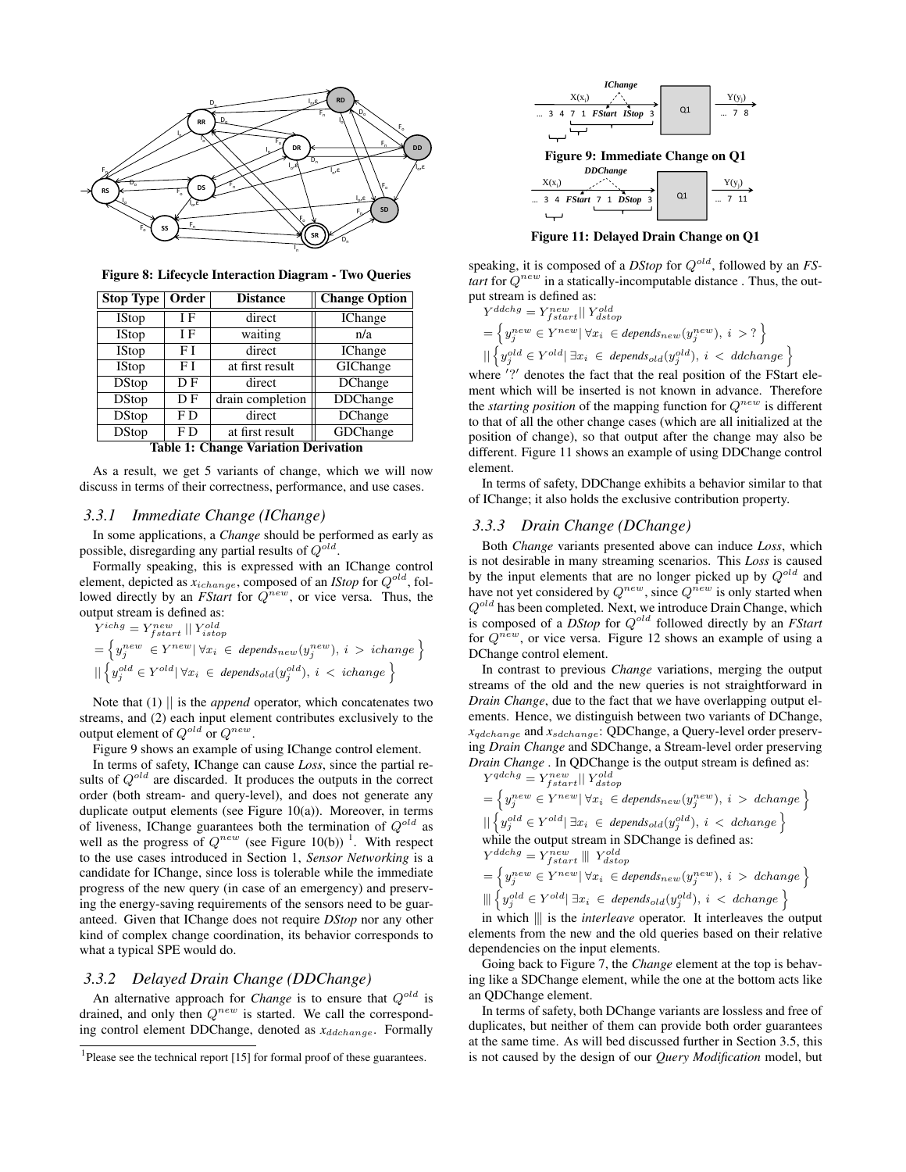

Figure 8: Lifecycle Interaction Diagram - Two Queries

| Order | <b>Distance</b>  | <b>Change Option</b>                 |
|-------|------------------|--------------------------------------|
| I F   | direct           | <b>IChange</b>                       |
| ΙF    | waiting          | n/a                                  |
| FΙ    | direct           | IChange                              |
| FΙ    | at first result  | GIChange                             |
| D F   | direct           | <b>DChange</b>                       |
| D F   | drain completion | <b>DDChange</b>                      |
| F D   | direct           | <b>DChange</b>                       |
| F D   | at first result  | GDChange                             |
|       |                  | Teklo 1. Cheman Ventation Denimation |

| <b>Table 1: Change Variation Derivation</b> |  |  |  |
|---------------------------------------------|--|--|--|
|---------------------------------------------|--|--|--|

As a result, we get 5 variants of change, which we will now discuss in terms of their correctness, performance, and use cases.

#### *3.3.1 Immediate Change (IChange)*

In some applications, a *Change* should be performed as early as possible, disregarding any partial results of  $Q^{old}$ .

Formally speaking, this is expressed with an IChange control element, depicted as  $x_{ichange}$ , composed of an *IStop* for  $Q^{old}$ , followed directly by an *FStart* for  $Q^{new}$ , or vice versa. Thus, the output stream is defined as:

$$
Y^{ichg} = Y^{new}_{fstart} || Y^{old}_{istop}
$$
  
= 
$$
\left\{ y^{new}_{j} \in Y^{new} | \forall x_{i} \in depends_{new}(y^{new}_{j}), i > ichange \right\}
$$
  

$$
|| \left\{ y^{old}_{j} \in Y^{old} | \forall x_{i} \in depends_{old}(y^{old}_{j}), i < ichange \right\}
$$

Note that (1) || is the *append* operator, which concatenates two streams, and (2) each input element contributes exclusively to the output element of  $Q^{old}$  or  $Q^{new}$ .

Figure 9 shows an example of using IChange control element.

In terms of safety, IChange can cause *Loss*, since the partial results of  $Q^{old}$  are discarded. It produces the outputs in the correct order (both stream- and query-level), and does not generate any duplicate output elements (see Figure 10(a)). Moreover, in terms of liveness, IChange guarantees both the termination of  $Q^{old}$  as well as the progress of  $Q^{new}$  (see Figure 10(b))<sup>1</sup>. With respect to the use cases introduced in Section 1, *Sensor Networking* is a candidate for IChange, since loss is tolerable while the immediate progress of the new query (in case of an emergency) and preserving the energy-saving requirements of the sensors need to be guaranteed. Given that IChange does not require *DStop* nor any other kind of complex change coordination, its behavior corresponds to what a typical SPE would do.

#### *3.3.2 Delayed Drain Change (DDChange)*

An alternative approach for *Change* is to ensure that  $Q^{old}$  is drained, and only then  $Q^{new}$  is started. We call the corresponding control element DDChange, denoted as  $x_{ddchange}$ . Formally



Figure 11: Delayed Drain Change on Q1

speaking, it is composed of a *DStop* for  $Q^{old}$ , followed by an *FStart* for  $Q^{new}$  in a statically-incomputable distance . Thus, the output stream is defined as:

$$
\begin{aligned} &Y^{ddchg} = Y^{new}_{f\,start} || \, Y^{old}_{dstop} \\ &= \left\{ y^{new}_j \in Y^{new} \, | \, \forall x_i \in depends_{new}(y^{new}_j), \, i > ? \right\} \\ &|| \left\{ y^{old}_j \in Y^{old} \, | \, \exists x_i \in depends_{old}(y^{old}_j), \, i < \, dachange \, \right\} \end{aligned}
$$

where '?' denotes the fact that the real position of the FStart element which will be inserted is not known in advance. Therefore the *starting position* of the mapping function for  $Q^{new}$  is different to that of all the other change cases (which are all initialized at the position of change), so that output after the change may also be different. Figure 11 shows an example of using DDChange control element.

In terms of safety, DDChange exhibits a behavior similar to that of IChange; it also holds the exclusive contribution property.

#### *3.3.3 Drain Change (DChange)*

Both *Change* variants presented above can induce *Loss*, which is not desirable in many streaming scenarios. This *Loss* is caused by the input elements that are no longer picked up by  $Q^{old}$  and have not yet considered by  $Q^{new}$ , since  $Q^{new}$  is only started when  $Q^{old}$  has been completed. Next, we introduce Drain Change, which is composed of a *DStop* for  $Q^{old}$  followed directly by an *FStart* for  $Q^{new}$ , or vice versa. Figure 12 shows an example of using a DChange control element.

In contrast to previous *Change* variations, merging the output streams of the old and the new queries is not straightforward in *Drain Change*, due to the fact that we have overlapping output elements. Hence, we distinguish between two variants of DChange, *x*qdchange and *x*sdchange: QDChange, a Query-level order preserving *Drain Change* and SDChange, a Stream-level order preserving *Drain Change* . In QDChange is the output stream is defined as: new old

$$
Y^{qchg} = Y^{new}_{fstar} || Y^{old}_{stop}
$$
  
= 
$$
\left\{ y^{new}_{j} \in Y^{new} | \forall x_{i} \in depends_{new}(y^{new}_{j}), i > dchange \right\}
$$
  

$$
|| \left\{ y^{old}_{j} \in Y^{old} | \exists x_{i} \in depends_{old}(y^{old}_{j}), i < dchange \right\}
$$

while the output stream in SDChange is defined as:

$$
Y^{ddchg} = Y^{new}_{fstart} \parallel Y^{old}_{dstop}
$$
  
= 
$$
\left\{ y^{new}_{j} \in Y^{new} \mid \forall x_{i} \in depends_{new}(y^{new}_{j}), i > dchange \right\}
$$

$$
\| \left\{ y_j^{old} \in Y^{old} | \exists x_i \in \text{depends}_{\text{old}}(y_j^{old}), i < \text{dchange} \right\} \}
$$

 $\begin{bmatrix} y_j & 0 & 1 \end{bmatrix}$  is the *interleave* operator. It interleaves the output<br>in which  $\parallel$  is the *interleave* operator. It interleaves the output elements from the new and the old queries based on their relative dependencies on the input elements.

Going back to Figure 7, the *Change* element at the top is behaving like a SDChange element, while the one at the bottom acts like an QDChange element.

In terms of safety, both DChange variants are lossless and free of duplicates, but neither of them can provide both order guarantees at the same time. As will bed discussed further in Section 3.5, this is not caused by the design of our *Query Modification* model, but

<sup>&</sup>lt;sup>1</sup>Please see the technical report  $[15]$  for formal proof of these guarantees.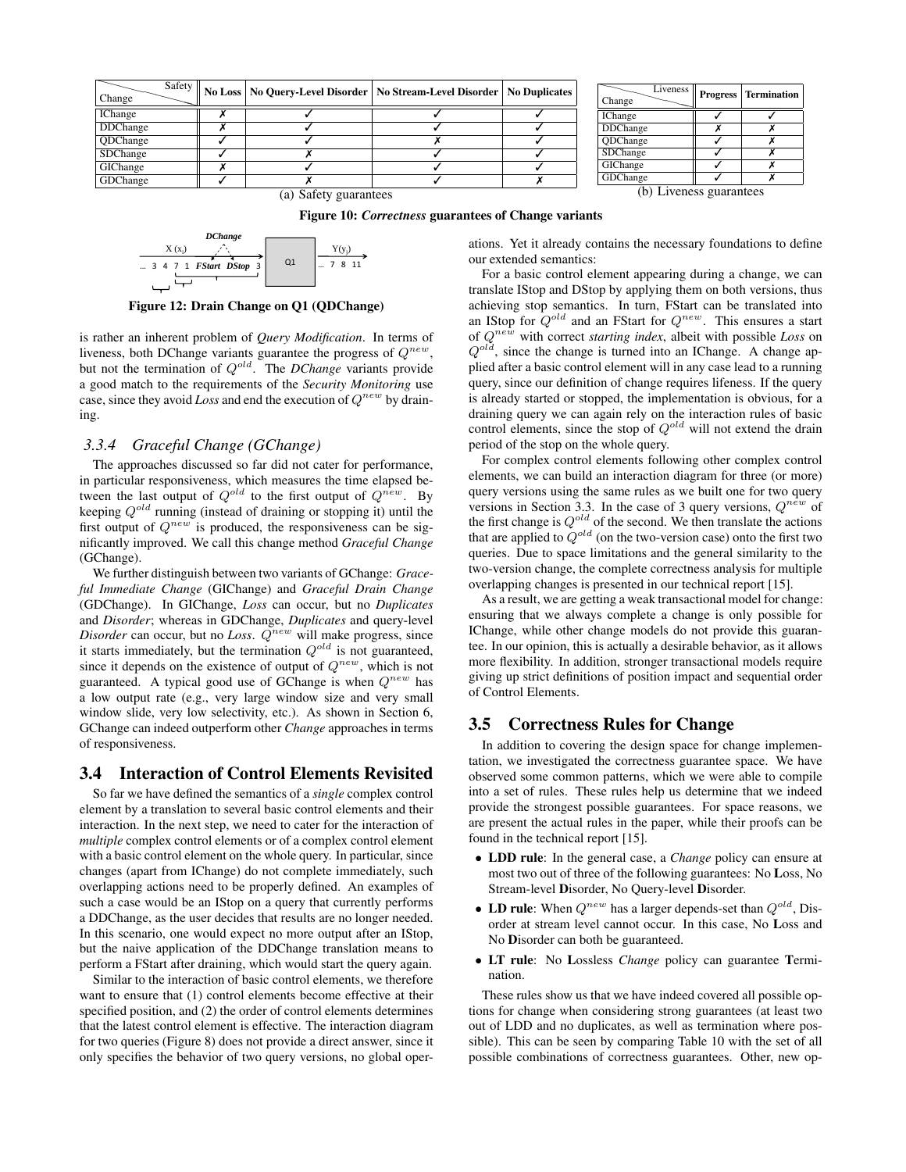| Safety  <br>Change |                       | No Loss   No Query-Level Disorder   No Stream-Level Disorder   No Duplicates |  |
|--------------------|-----------------------|------------------------------------------------------------------------------|--|
| IChange            |                       |                                                                              |  |
| <b>DDChange</b>    |                       |                                                                              |  |
| ODChange           |                       |                                                                              |  |
| SDChange           |                       |                                                                              |  |
| GIChange           |                       |                                                                              |  |
| GDChange           |                       |                                                                              |  |
|                    | (a) Safety guarantees |                                                                              |  |

| Liveness               |                 |                    |  |
|------------------------|-----------------|--------------------|--|
| Change                 | <b>Progress</b> | <b>Termination</b> |  |
| IChange                |                 |                    |  |
| <b>DDChange</b>        |                 | x                  |  |
| ODChange               |                 | x                  |  |
| <b>SDChange</b>        |                 | x                  |  |
| GIChange               |                 | x                  |  |
| GDChange               |                 | ×                  |  |
| b) Liveness guarantees |                 |                    |  |

Figure 10: *Correctness* guarantees of Change variants



Figure 12: Drain Change on Q1 (QDChange)

is rather an inherent problem of *Query Modification*. In terms of liveness, both DChange variants guarantee the progress of  $Q^{new}$ , but not the termination of  $Q^{old}$ . The *DChange* variants provide a good match to the requirements of the *Security Monitoring* use case, since they avoid *Loss* and end the execution of  $Q^{new}$  by draining.

### *3.3.4 Graceful Change (GChange)*

The approaches discussed so far did not cater for performance, in particular responsiveness, which measures the time elapsed between the last output of  $Q^{old}$  to the first output of  $Q^{new}$ . By keeping  $Q^{old}$  running (instead of draining or stopping it) until the first output of  $Q^{new}$  is produced, the responsiveness can be significantly improved. We call this change method *Graceful Change* (GChange).

We further distinguish between two variants of GChange: *Graceful Immediate Change* (GIChange) and *Graceful Drain Change* (GDChange). In GIChange, *Loss* can occur, but no *Duplicates* and *Disorder*; whereas in GDChange, *Duplicates* and query-level *Disorder* can occur, but no *Loss*.  $Q^{new}$  will make progress, since it starts immediately, but the termination  $Q^{old}$  is not guaranteed, since it depends on the existence of output of  $Q^{new}$ , which is not guaranteed. A typical good use of GChange is when  $Q^{new}$  has a low output rate (e.g., very large window size and very small window slide, very low selectivity, etc.). As shown in Section 6, GChange can indeed outperform other *Change* approaches in terms of responsiveness.

# 3.4 Interaction of Control Elements Revisited

So far we have defined the semantics of a *single* complex control element by a translation to several basic control elements and their interaction. In the next step, we need to cater for the interaction of *multiple* complex control elements or of a complex control element with a basic control element on the whole query. In particular, since changes (apart from IChange) do not complete immediately, such overlapping actions need to be properly defined. An examples of such a case would be an IStop on a query that currently performs a DDChange, as the user decides that results are no longer needed. In this scenario, one would expect no more output after an IStop, but the naive application of the DDChange translation means to perform a FStart after draining, which would start the query again.

Similar to the interaction of basic control elements, we therefore want to ensure that (1) control elements become effective at their specified position, and (2) the order of control elements determines that the latest control element is effective. The interaction diagram for two queries (Figure 8) does not provide a direct answer, since it only specifies the behavior of two query versions, no global operations. Yet it already contains the necessary foundations to define our extended semantics:

For a basic control element appearing during a change, we can translate IStop and DStop by applying them on both versions, thus achieving stop semantics. In turn, FStart can be translated into an IStop for  $Q^{old}$  and an FStart for  $Q^{new}$ . This ensures a start of Q new with correct *starting index*, albeit with possible *Loss* on  $Q^{old}$ , since the change is turned into an IChange. A change applied after a basic control element will in any case lead to a running query, since our definition of change requires lifeness. If the query is already started or stopped, the implementation is obvious, for a draining query we can again rely on the interaction rules of basic control elements, since the stop of  $Q^{old}$  will not extend the drain period of the stop on the whole query.

For complex control elements following other complex control elements, we can build an interaction diagram for three (or more) query versions using the same rules as we built one for two query versions in Section 3.3. In the case of 3 query versions,  $Q^{new}$  of the first change is  $Q^{old}$  of the second. We then translate the actions that are applied to  $Q^{old}$  (on the two-version case) onto the first two queries. Due to space limitations and the general similarity to the two-version change, the complete correctness analysis for multiple overlapping changes is presented in our technical report [15].

As a result, we are getting a weak transactional model for change: ensuring that we always complete a change is only possible for IChange, while other change models do not provide this guarantee. In our opinion, this is actually a desirable behavior, as it allows more flexibility. In addition, stronger transactional models require giving up strict definitions of position impact and sequential order of Control Elements.

### 3.5 Correctness Rules for Change

In addition to covering the design space for change implementation, we investigated the correctness guarantee space. We have observed some common patterns, which we were able to compile into a set of rules. These rules help us determine that we indeed provide the strongest possible guarantees. For space reasons, we are present the actual rules in the paper, while their proofs can be found in the technical report [15].

- LDD rule: In the general case, a *Change* policy can ensure at most two out of three of the following guarantees: No Loss, No Stream-level Disorder, No Query-level Disorder.
- LD rule: When  $Q^{new}$  has a larger depends-set than  $Q^{old}$ , Disorder at stream level cannot occur. In this case, No Loss and No Disorder can both be guaranteed.
- LT rule: No Lossless *Change* policy can guarantee Termination.

These rules show us that we have indeed covered all possible options for change when considering strong guarantees (at least two out of LDD and no duplicates, as well as termination where possible). This can be seen by comparing Table 10 with the set of all possible combinations of correctness guarantees. Other, new op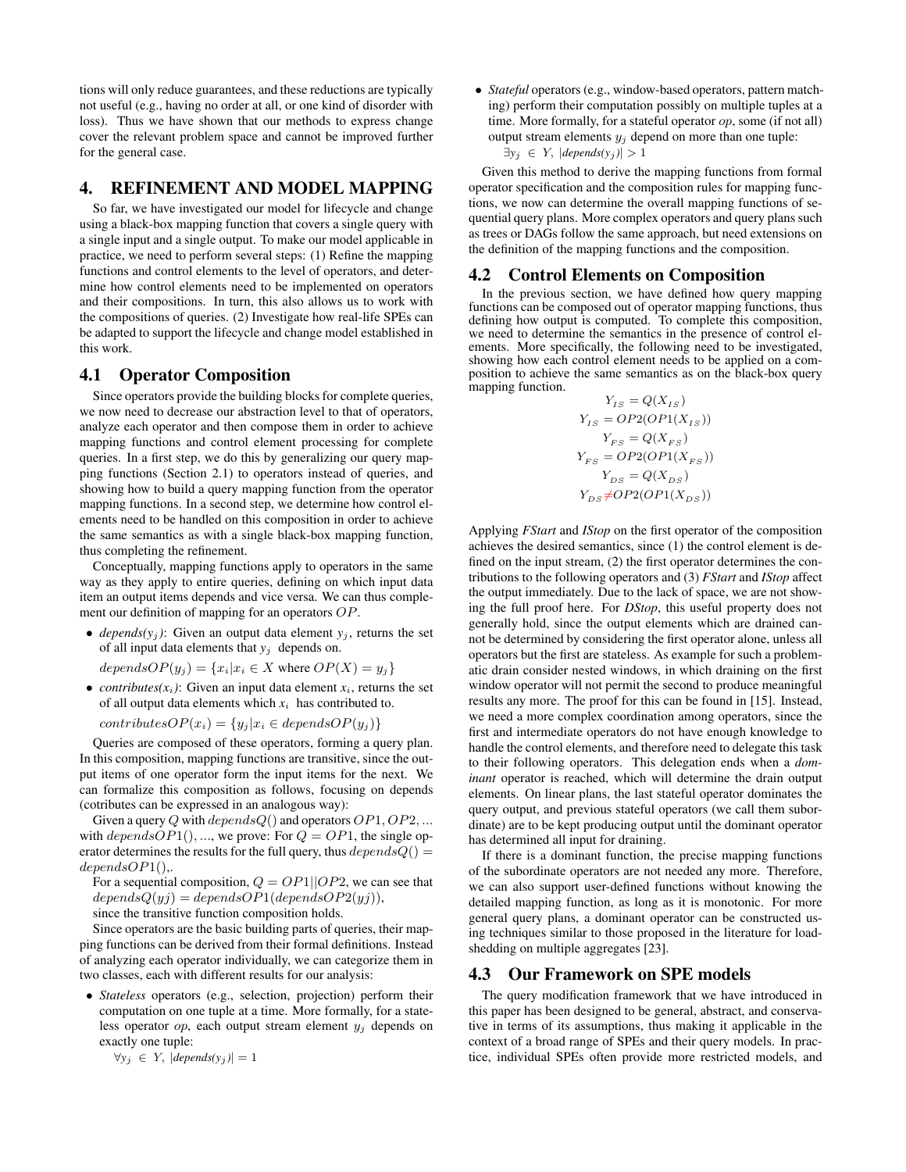tions will only reduce guarantees, and these reductions are typically not useful (e.g., having no order at all, or one kind of disorder with loss). Thus we have shown that our methods to express change cover the relevant problem space and cannot be improved further for the general case.

# 4. REFINEMENT AND MODEL MAPPING

So far, we have investigated our model for lifecycle and change using a black-box mapping function that covers a single query with a single input and a single output. To make our model applicable in practice, we need to perform several steps: (1) Refine the mapping functions and control elements to the level of operators, and determine how control elements need to be implemented on operators and their compositions. In turn, this also allows us to work with the compositions of queries. (2) Investigate how real-life SPEs can be adapted to support the lifecycle and change model established in this work.

# 4.1 Operator Composition

Since operators provide the building blocks for complete queries, we now need to decrease our abstraction level to that of operators, analyze each operator and then compose them in order to achieve mapping functions and control element processing for complete queries. In a first step, we do this by generalizing our query mapping functions (Section 2.1) to operators instead of queries, and showing how to build a query mapping function from the operator mapping functions. In a second step, we determine how control elements need to be handled on this composition in order to achieve the same semantics as with a single black-box mapping function, thus completing the refinement.

Conceptually, mapping functions apply to operators in the same way as they apply to entire queries, defining on which input data item an output items depends and vice versa. We can thus complement our definition of mapping for an operators OP.

• *depends(y<sub>j</sub>)*: Given an output data element  $y_j$ , returns the set of all input data elements that *y*<sup>j</sup> depends on.

 $depends OP(y_i) = \{x_i | x_i \in X \text{ where } OP(X) = y_i\}$ 

• *contributes(x<sub>i</sub>*): Given an input data element  $x_i$ , returns the set of all output data elements which  $x_i$  has contributed to.

 $contributesOP(x_i) = \{y_j | x_i \in dependsOP(y_j)\}\$ 

Queries are composed of these operators, forming a query plan. In this composition, mapping functions are transitive, since the output items of one operator form the input items for the next. We can formalize this composition as follows, focusing on depends (cotributes can be expressed in an analogous way):

Given a query Q with  $depends Q()$  and operators  $OP1, OP2, ...$ with  $depends OP1(), ...,$  we prove: For  $Q = OP1$ , the single operator determines the results for the full query, thus  $depends Q()$  =  $depends OP1()$ ,.

For a sequential composition,  $Q = OP1 || OP2$ , we can see that  $depends Q(yj) = depends OP1(depends OP2(yj)),$ since the transitive function composition holds.

Since operators are the basic building parts of queries, their mapping functions can be derived from their formal definitions. Instead of analyzing each operator individually, we can categorize them in two classes, each with different results for our analysis:

• *Stateless* operators (e.g., selection, projection) perform their computation on one tuple at a time. More formally, for a stateless operator  $op$ , each output stream element  $y_j$  depends on exactly one tuple:

$$
\forall y_j \in Y, \, |depends(y_j)| = 1
$$

• *Stateful* operators (e.g., window-based operators, pattern matching) perform their computation possibly on multiple tuples at a time. More formally, for a stateful operator op, some (if not all) output stream elements  $y_j$  depend on more than one tuple:  $\exists y_j \in Y$ ,  $|depends(y_j)| > 1$ 

Given this method to derive the mapping functions from formal operator specification and the composition rules for mapping functions, we now can determine the overall mapping functions of sequential query plans. More complex operators and query plans such as trees or DAGs follow the same approach, but need extensions on the definition of the mapping functions and the composition.

### 4.2 Control Elements on Composition

In the previous section, we have defined how query mapping functions can be composed out of operator mapping functions, thus defining how output is computed. To complete this composition, we need to determine the semantics in the presence of control elements. More specifically, the following need to be investigated, showing how each control element needs to be applied on a composition to achieve the same semantics as on the black-box query mapping function.

$$
\begin{gathered} Y_{IS} = Q(X_{IS})\\ Y_{IS} = OP2(OP1(X_{IS}))\\ Y_{FS} = Q(X_{FS})\\ Y_{FS} = OP2(OP1(X_{FS}))\\ Y_{DS} = Q(X_{DS})\\ Y_{DS} \neq OP2(OP1(X_{DS})) \end{gathered}
$$

Applying *FStart* and *IStop* on the first operator of the composition achieves the desired semantics, since (1) the control element is defined on the input stream, (2) the first operator determines the contributions to the following operators and (3) *FStart* and *IStop* affect the output immediately. Due to the lack of space, we are not showing the full proof here. For *DStop*, this useful property does not generally hold, since the output elements which are drained cannot be determined by considering the first operator alone, unless all operators but the first are stateless. As example for such a problematic drain consider nested windows, in which draining on the first window operator will not permit the second to produce meaningful results any more. The proof for this can be found in [15]. Instead, we need a more complex coordination among operators, since the first and intermediate operators do not have enough knowledge to handle the control elements, and therefore need to delegate this task to their following operators. This delegation ends when a *dominant* operator is reached, which will determine the drain output elements. On linear plans, the last stateful operator dominates the query output, and previous stateful operators (we call them subordinate) are to be kept producing output until the dominant operator has determined all input for draining.

If there is a dominant function, the precise mapping functions of the subordinate operators are not needed any more. Therefore, we can also support user-defined functions without knowing the detailed mapping function, as long as it is monotonic. For more general query plans, a dominant operator can be constructed using techniques similar to those proposed in the literature for loadshedding on multiple aggregates [23].

### 4.3 Our Framework on SPE models

The query modification framework that we have introduced in this paper has been designed to be general, abstract, and conservative in terms of its assumptions, thus making it applicable in the context of a broad range of SPEs and their query models. In practice, individual SPEs often provide more restricted models, and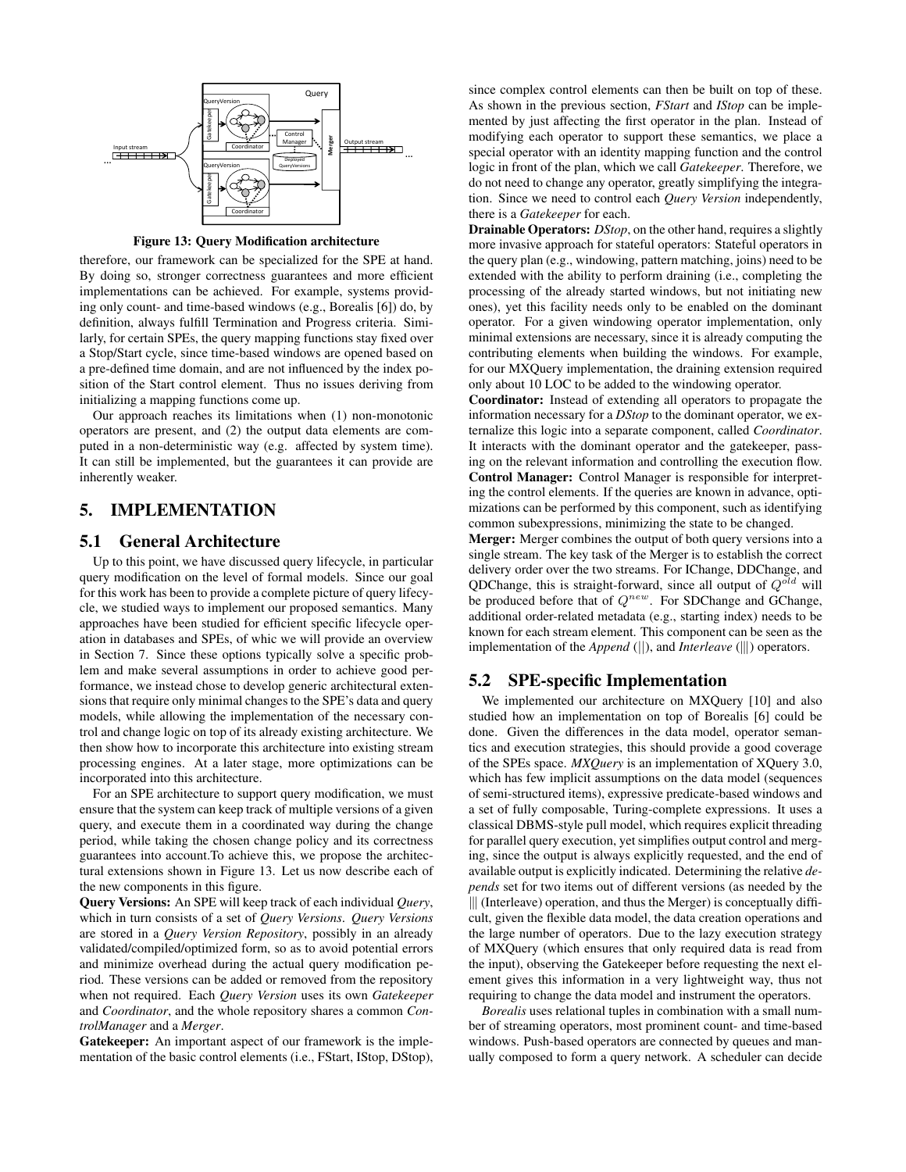

Figure 13: Query Modification architecture

therefore, our framework can be specialized for the SPE at hand. By doing so, stronger correctness guarantees and more efficient implementations can be achieved. For example, systems providing only count- and time-based windows (e.g., Borealis [6]) do, by definition, always fulfill Termination and Progress criteria. Similarly, for certain SPEs, the query mapping functions stay fixed over a Stop/Start cycle, since time-based windows are opened based on a pre-defined time domain, and are not influenced by the index position of the Start control element. Thus no issues deriving from initializing a mapping functions come up.

Our approach reaches its limitations when (1) non-monotonic operators are present, and (2) the output data elements are computed in a non-deterministic way (e.g. affected by system time). It can still be implemented, but the guarantees it can provide are inherently weaker.

# 5. IMPLEMENTATION

# 5.1 General Architecture

Up to this point, we have discussed query lifecycle, in particular query modification on the level of formal models. Since our goal for this work has been to provide a complete picture of query lifecycle, we studied ways to implement our proposed semantics. Many approaches have been studied for efficient specific lifecycle operation in databases and SPEs, of whic we will provide an overview in Section 7. Since these options typically solve a specific problem and make several assumptions in order to achieve good performance, we instead chose to develop generic architectural extensions that require only minimal changes to the SPE's data and query models, while allowing the implementation of the necessary control and change logic on top of its already existing architecture. We then show how to incorporate this architecture into existing stream processing engines. At a later stage, more optimizations can be incorporated into this architecture.

For an SPE architecture to support query modification, we must ensure that the system can keep track of multiple versions of a given query, and execute them in a coordinated way during the change period, while taking the chosen change policy and its correctness guarantees into account.To achieve this, we propose the architectural extensions shown in Figure 13. Let us now describe each of the new components in this figure.

Query Versions: An SPE will keep track of each individual *Query*, which in turn consists of a set of *Query Versions*. *Query Versions* are stored in a *Query Version Repository*, possibly in an already validated/compiled/optimized form, so as to avoid potential errors and minimize overhead during the actual query modification period. These versions can be added or removed from the repository when not required. Each *Query Version* uses its own *Gatekeeper* and *Coordinator*, and the whole repository shares a common *ControlManager* and a *Merger*.

Gatekeeper: An important aspect of our framework is the implementation of the basic control elements (i.e., FStart, IStop, DStop), since complex control elements can then be built on top of these. As shown in the previous section, *FStart* and *IStop* can be implemented by just affecting the first operator in the plan. Instead of modifying each operator to support these semantics, we place a special operator with an identity mapping function and the control logic in front of the plan, which we call *Gatekeeper*. Therefore, we do not need to change any operator, greatly simplifying the integration. Since we need to control each *Query Version* independently, there is a *Gatekeeper* for each.

**Drainable Operators:** *DStop*, on the other hand, requires a slightly more invasive approach for stateful operators: Stateful operators in the query plan (e.g., windowing, pattern matching, joins) need to be extended with the ability to perform draining (i.e., completing the processing of the already started windows, but not initiating new ones), yet this facility needs only to be enabled on the dominant operator. For a given windowing operator implementation, only minimal extensions are necessary, since it is already computing the contributing elements when building the windows. For example, for our MXQuery implementation, the draining extension required only about 10 LOC to be added to the windowing operator.

Coordinator: Instead of extending all operators to propagate the information necessary for a *DStop* to the dominant operator, we externalize this logic into a separate component, called *Coordinator*. It interacts with the dominant operator and the gatekeeper, passing on the relevant information and controlling the execution flow. Control Manager: Control Manager is responsible for interpreting the control elements. If the queries are known in advance, optimizations can be performed by this component, such as identifying common subexpressions, minimizing the state to be changed.

Merger: Merger combines the output of both query versions into a single stream. The key task of the Merger is to establish the correct delivery order over the two streams. For IChange, DDChange, and QDChange, this is straight-forward, since all output of  $Q^{old}$  will be produced before that of  $Q^{new}$ . For SDChange and GChange, additional order-related metadata (e.g., starting index) needs to be known for each stream element. This component can be seen as the implementation of the *Append* (||), and *Interleave* (|||) operators.

# 5.2 SPE-specific Implementation

We implemented our architecture on MXQuery [10] and also studied how an implementation on top of Borealis [6] could be done. Given the differences in the data model, operator semantics and execution strategies, this should provide a good coverage of the SPEs space. *MXQuery* is an implementation of XQuery 3.0, which has few implicit assumptions on the data model (sequences of semi-structured items), expressive predicate-based windows and a set of fully composable, Turing-complete expressions. It uses a classical DBMS-style pull model, which requires explicit threading for parallel query execution, yet simplifies output control and merging, since the output is always explicitly requested, and the end of available output is explicitly indicated. Determining the relative *depends* set for two items out of different versions (as needed by the  $\parallel$  (Interleave) operation, and thus the Merger) is conceptually difficult, given the flexible data model, the data creation operations and the large number of operators. Due to the lazy execution strategy of MXQuery (which ensures that only required data is read from the input), observing the Gatekeeper before requesting the next element gives this information in a very lightweight way, thus not requiring to change the data model and instrument the operators.

*Borealis* uses relational tuples in combination with a small number of streaming operators, most prominent count- and time-based windows. Push-based operators are connected by queues and manually composed to form a query network. A scheduler can decide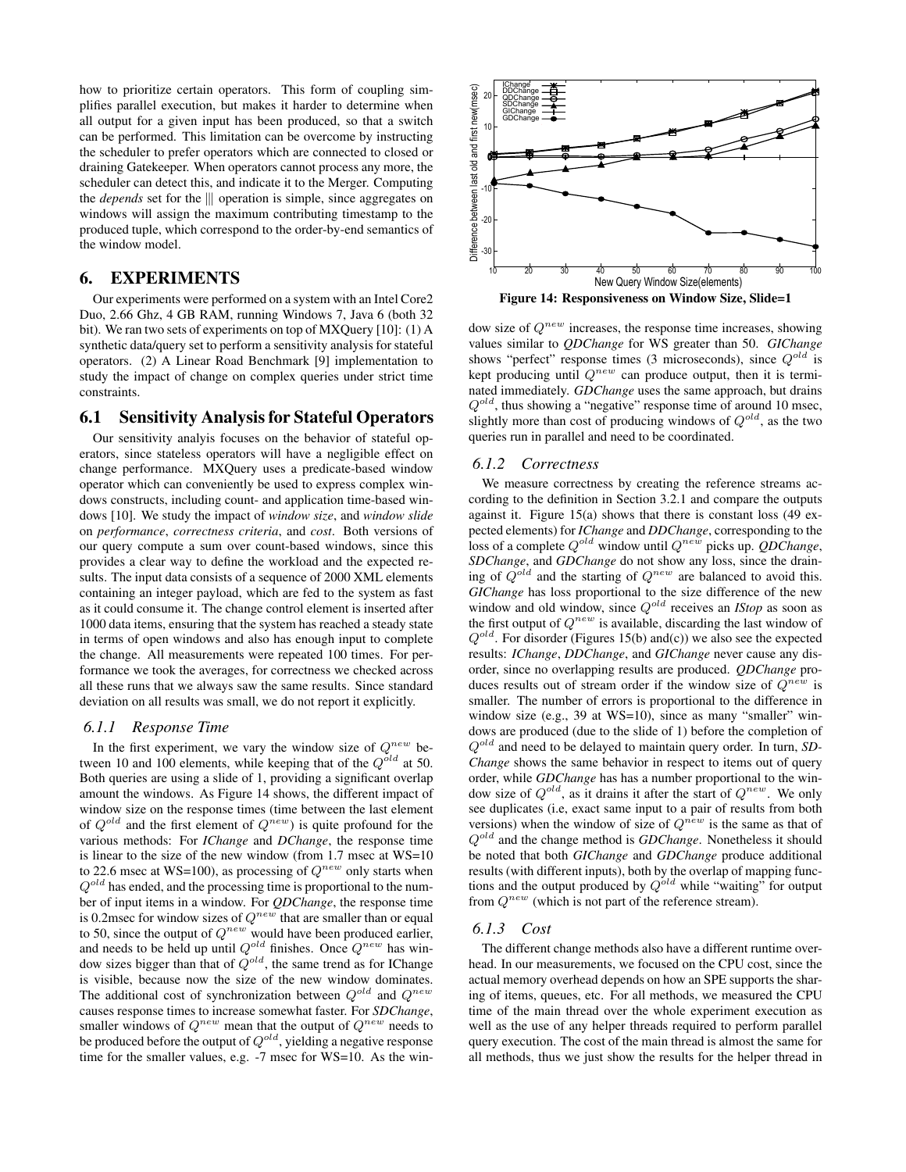how to prioritize certain operators. This form of coupling simplifies parallel execution, but makes it harder to determine when all output for a given input has been produced, so that a switch can be performed. This limitation can be overcome by instructing the scheduler to prefer operators which are connected to closed or draining Gatekeeper. When operators cannot process any more, the scheduler can detect this, and indicate it to the Merger. Computing the *depends* set for the  $\parallel \parallel$  operation is simple, since aggregates on windows will assign the maximum contributing timestamp to the produced tuple, which correspond to the order-by-end semantics of the window model.

# 6. EXPERIMENTS

Our experiments were performed on a system with an Intel Core2 Duo, 2.66 Ghz, 4 GB RAM, running Windows 7, Java 6 (both 32 bit). We ran two sets of experiments on top of MXQuery [10]: (1) A synthetic data/query set to perform a sensitivity analysis for stateful operators. (2) A Linear Road Benchmark [9] implementation to study the impact of change on complex queries under strict time constraints.

# 6.1 Sensitivity Analysis for Stateful Operators

Our sensitivity analyis focuses on the behavior of stateful operators, since stateless operators will have a negligible effect on change performance. MXQuery uses a predicate-based window operator which can conveniently be used to express complex windows constructs, including count- and application time-based windows [10]. We study the impact of *window size*, and *window slide* on *performance*, *correctness criteria*, and *cost*. Both versions of our query compute a sum over count-based windows, since this provides a clear way to define the workload and the expected results. The input data consists of a sequence of 2000 XML elements containing an integer payload, which are fed to the system as fast as it could consume it. The change control element is inserted after 1000 data items, ensuring that the system has reached a steady state in terms of open windows and also has enough input to complete the change. All measurements were repeated 100 times. For performance we took the averages, for correctness we checked across all these runs that we always saw the same results. Since standard deviation on all results was small, we do not report it explicitly.

### *6.1.1 Response Time*

In the first experiment, we vary the window size of  $Q^{new}$  between 10 and 100 elements, while keeping that of the  $Q^{old}$  at 50. Both queries are using a slide of 1, providing a significant overlap amount the windows. As Figure 14 shows, the different impact of window size on the response times (time between the last element of  $Q^{old}$  and the first element of  $Q^{new}$ ) is quite profound for the various methods: For *IChange* and *DChange*, the response time is linear to the size of the new window (from 1.7 msec at WS=10 to 22.6 msec at WS=100), as processing of  $Q^{new}$  only starts when  $Q^{old}$  has ended, and the processing time is proportional to the number of input items in a window. For *QDChange*, the response time is 0.2msec for window sizes of  $Q^{new}$  that are smaller than or equal to 50, since the output of  $Q^{new}$  would have been produced earlier, and needs to be held up until  $Q^{old}$  finishes. Once  $Q^{new}$  has window sizes bigger than that of  $Q^{old}$ , the same trend as for IChange is visible, because now the size of the new window dominates. The additional cost of synchronization between  $Q^{old}$  and  $Q^{new}$ causes response times to increase somewhat faster. For *SDChange*, smaller windows of  $Q^{new}$  mean that the output of  $Q^{new}$  needs to be produced before the output of  $Q^{old}$ , yielding a negative response time for the smaller values, e.g. -7 msec for WS=10. As the win-



dow size of  $Q^{new}$  increases, the response time increases, showing values similar to *QDChange* for WS greater than 50. *GIChange* shows "perfect" response times (3 microseconds), since  $Q^{old}$  is kept producing until  $Q^{new}$  can produce output, then it is terminated immediately. *GDChange* uses the same approach, but drains  $Q^{old}$ , thus showing a "negative" response time of around 10 msec, slightly more than cost of producing windows of  $Q^{old}$ , as the two queries run in parallel and need to be coordinated.

### *6.1.2 Correctness*

We measure correctness by creating the reference streams according to the definition in Section 3.2.1 and compare the outputs against it. Figure 15(a) shows that there is constant loss (49 expected elements) for *IChange* and *DDChange*, corresponding to the loss of a complete  $Q^{old}$  window until  $Q^{new}$  picks up. *QDChange*, *SDChange*, and *GDChange* do not show any loss, since the draining of  $Q^{old}$  and the starting of  $Q^{new}$  are balanced to avoid this. *GIChange* has loss proportional to the size difference of the new window and old window, since  $Q^{old}$  receives an *IStop* as soon as the first output of  $Q^{new}$  is available, discarding the last window of  $Q^{old}$ . For disorder (Figures 15(b) and(c)) we also see the expected results: *IChange*, *DDChange*, and *GIChange* never cause any disorder, since no overlapping results are produced. *QDChange* produces results out of stream order if the window size of  $Q^{new}$  is smaller. The number of errors is proportional to the difference in window size (e.g., 39 at WS=10), since as many "smaller" windows are produced (due to the slide of 1) before the completion of  $Q^{old}$  and need to be delayed to maintain query order. In turn, *SD*-*Change* shows the same behavior in respect to items out of query order, while *GDChange* has has a number proportional to the window size of  $Q^{old}$ , as it drains it after the start of  $Q^{new}$ . We only see duplicates (i.e, exact same input to a pair of results from both versions) when the window of size of  $Q^{new}$  is the same as that of  $Q^{old}$  and the change method is *GDChange*. Nonetheless it should be noted that both *GIChange* and *GDChange* produce additional results (with different inputs), both by the overlap of mapping functions and the output produced by  $Q^{old}$  while "waiting" for output from  $Q^{new}$  (which is not part of the reference stream).

### *6.1.3 Cost*

The different change methods also have a different runtime overhead. In our measurements, we focused on the CPU cost, since the actual memory overhead depends on how an SPE supports the sharing of items, queues, etc. For all methods, we measured the CPU time of the main thread over the whole experiment execution as well as the use of any helper threads required to perform parallel query execution. The cost of the main thread is almost the same for all methods, thus we just show the results for the helper thread in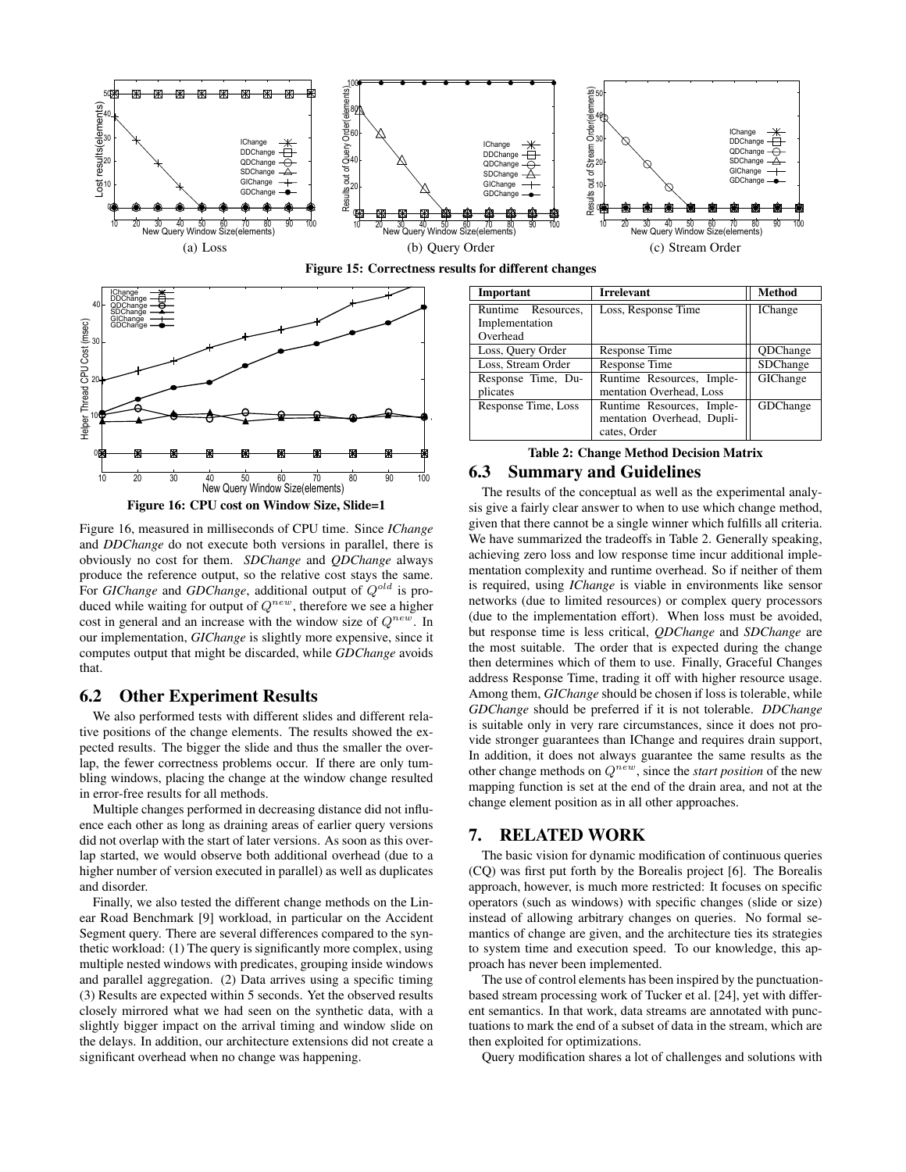



Figure 16: CPU cost on Window Size, Slide=1

Figure 16, measured in milliseconds of CPU time. Since *IChange* and *DDChange* do not execute both versions in parallel, there is obviously no cost for them. *SDChange* and *QDChange* always produce the reference output, so the relative cost stays the same. For *GIChange* and *GDChange*, additional output of  $Q^{old}$  is produced while waiting for output of  $Q^{new}$ , therefore we see a higher cost in general and an increase with the window size of  $Q^{new}$ . In our implementation, *GIChange* is slightly more expensive, since it computes output that might be discarded, while *GDChange* avoids that.

# 6.2 Other Experiment Results

We also performed tests with different slides and different relative positions of the change elements. The results showed the expected results. The bigger the slide and thus the smaller the overlap, the fewer correctness problems occur. If there are only tumbling windows, placing the change at the window change resulted in error-free results for all methods.

Multiple changes performed in decreasing distance did not influence each other as long as draining areas of earlier query versions did not overlap with the start of later versions. As soon as this overlap started, we would observe both additional overhead (due to a higher number of version executed in parallel) as well as duplicates and disorder.

Finally, we also tested the different change methods on the Linear Road Benchmark [9] workload, in particular on the Accident Segment query. There are several differences compared to the synthetic workload: (1) The query is significantly more complex, using multiple nested windows with predicates, grouping inside windows and parallel aggregation. (2) Data arrives using a specific timing (3) Results are expected within 5 seconds. Yet the observed results closely mirrored what we had seen on the synthetic data, with a slightly bigger impact on the arrival timing and window slide on the delays. In addition, our architecture extensions did not create a significant overhead when no change was happening.

| Important                               | <b>Irrelevant</b>                                                       | Method          |
|-----------------------------------------|-------------------------------------------------------------------------|-----------------|
| Runtime<br>Resources,<br>Implementation | Loss, Response Time                                                     | <b>IChange</b>  |
| Overhead                                |                                                                         |                 |
| Loss, Query Order                       | Response Time                                                           | ODChange        |
| Loss, Stream Order                      | <b>Response Time</b>                                                    | <b>SDChange</b> |
| Response Time, Du-<br>plicates          | Runtime Resources, Imple-<br>mentation Overhead, Loss                   | GIChange        |
| Response Time, Loss                     | Runtime Resources, Imple-<br>mentation Overhead, Dupli-<br>cates, Order | GDChange        |

Table 2: Change Method Decision Matrix

### 6.3 Summary and Guidelines

The results of the conceptual as well as the experimental analysis give a fairly clear answer to when to use which change method, given that there cannot be a single winner which fulfills all criteria. We have summarized the tradeoffs in Table 2. Generally speaking, achieving zero loss and low response time incur additional implementation complexity and runtime overhead. So if neither of them is required, using *IChange* is viable in environments like sensor networks (due to limited resources) or complex query processors (due to the implementation effort). When loss must be avoided, but response time is less critical, *QDChange* and *SDChange* are the most suitable. The order that is expected during the change then determines which of them to use. Finally, Graceful Changes address Response Time, trading it off with higher resource usage. Among them, *GIChange* should be chosen if loss is tolerable, while *GDChange* should be preferred if it is not tolerable. *DDChange* is suitable only in very rare circumstances, since it does not provide stronger guarantees than IChange and requires drain support, In addition, it does not always guarantee the same results as the other change methods on  $Q^{new}$ , since the *start position* of the new mapping function is set at the end of the drain area, and not at the change element position as in all other approaches.

### 7. RELATED WORK

The basic vision for dynamic modification of continuous queries (CQ) was first put forth by the Borealis project [6]. The Borealis approach, however, is much more restricted: It focuses on specific operators (such as windows) with specific changes (slide or size) instead of allowing arbitrary changes on queries. No formal semantics of change are given, and the architecture ties its strategies to system time and execution speed. To our knowledge, this approach has never been implemented.

The use of control elements has been inspired by the punctuationbased stream processing work of Tucker et al. [24], yet with different semantics. In that work, data streams are annotated with punctuations to mark the end of a subset of data in the stream, which are then exploited for optimizations.

Query modification shares a lot of challenges and solutions with